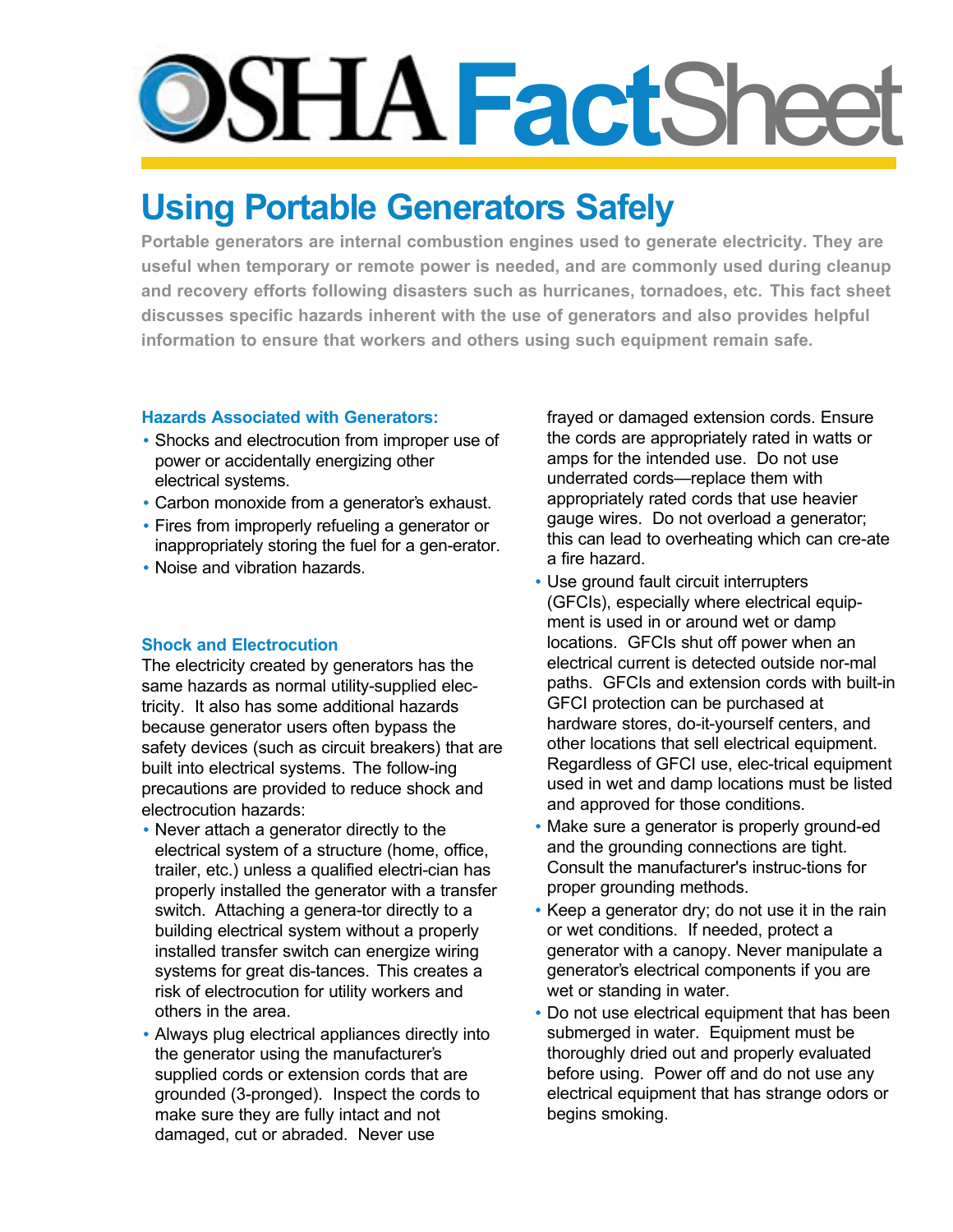# **Fact**Sheet

# **Using Portable Generators Safely**

**Portable generators are internal combustion engines used to generate electricity. They are useful when temporary or remote power is needed, and are commonly used during cleanup and recovery efforts following disasters such as hurricanes, tornadoes, etc. This fact sheet discusses specific hazards inherent with the use of generators and also provides helpful information to ensure that workers and others using such equipment remain safe.**

# **Hazards Associated with Generators:**

- Shocks and electrocution from improper use of power or accidentally energizing other electrical systems.
- Carbon monoxide from a generator's exhaust.
- Fires from improperly refueling a generator or inappropriately storing the fuel for a gen-erator.
- Noise and vibration hazards.

# **Shock and Electrocution**

The electricity created by generators has the same hazards as normal utility-supplied electricity. It also has some additional hazards because generator users often bypass the safety devices (such as circuit breakers) that are built into electrical systems. The follow-ing precautions are provided to reduce shock and electrocution hazards:

- Never attach a generator directly to the electrical system of a structure (home, office, trailer, etc.) unless a qualified electri-cian has properly installed the generator with a transfer switch. Attaching a genera-tor directly to a building electrical system without a properly installed transfer switch can energize wiring systems for great dis-tances. This creates a risk of electrocution for utility workers and others in the area.
- Always plug electrical appliances directly into the generator using the manufacturer's supplied cords or extension cords that are grounded (3-pronged). Inspect the cords to make sure they are fully intact and not damaged, cut or abraded. Never use

frayed or damaged extension cords. Ensure the cords are appropriately rated in watts or amps for the intended use. Do not use underrated cords—replace them with appropriately rated cords that use heavier gauge wires. Do not overload a generator; this can lead to overheating which can cre-ate a fire hazard.

- Use ground fault circuit interrupters (GFCIs), especially where electrical equipment is used in or around wet or damp locations. GFCIs shut off power when an electrical current is detected outside nor-mal paths. GFCIs and extension cords with built-in GFCI protection can be purchased at hardware stores, do-it-yourself centers, and other locations that sell electrical equipment. Regardless of GFCI use, elec-trical equipment used in wet and damp locations must be listed and approved for those conditions.
- Make sure a generator is properly ground-ed and the grounding connections are tight. Consult the manufacturer's instruc-tions for proper grounding methods.
- Keep a generator dry; do not use it in the rain or wet conditions. If needed, protect a generator with a canopy. Never manipulate a generator's electrical components if you are wet or standing in water.
- Do not use electrical equipment that has been submerged in water. Equipment must be thoroughly dried out and properly evaluated before using. Power off and do not use any electrical equipment that has strange odors or begins smoking.